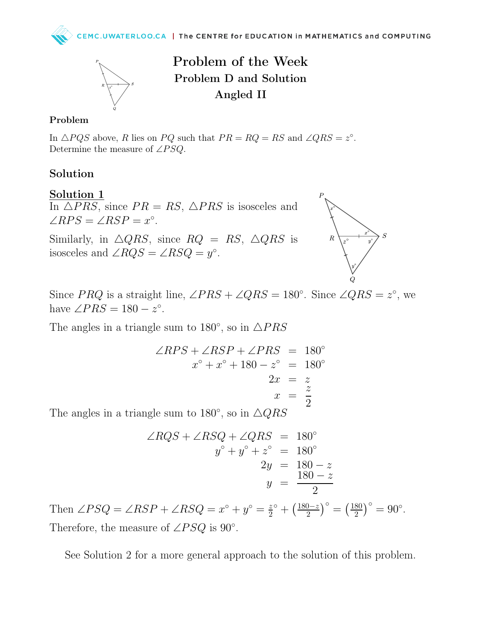

Problem of the Week Problem D and Solution Angled II

#### Problem

In  $\triangle PQS$  above, R lies on PQ such that  $PR = RQ = RS$  and  $\angle QRS = z^{\circ}$ . Determine the measure of  $\angle PSQ$ .

# Solution

### Solution 1

In  $\triangle PRS$ , since  $PR = RS$ ,  $\triangle PRS$  is isosceles and  $\angle RPS = \angle RSP = x^{\circ}.$ 

Similarly, in  $\triangle QRS$ , since  $RQ = RS$ ,  $\triangle QRS$  is isosceles and  $\angle RQS = \angle RSQ = y^{\circ}$ .



Since PRQ is a straight line,  $\angle PRS + \angle QRS = 180^\circ$ . Since  $\angle QRS = z^\circ$ , we have  $\angle PRS = 180 - z^{\circ}$ .

The angles in a triangle sum to 180 $^{\circ}$ , so in  $\triangle PRS$ 

$$
\angle RPS + \angle RSP + \angle PRS = 180^{\circ}
$$
  

$$
x^{\circ} + x^{\circ} + 180 - z^{\circ} = 180^{\circ}
$$
  

$$
2x = z
$$
  

$$
x = \frac{z}{2}
$$
  
g sum to 180°, so in AOBS

The angles in a triangle sum to 180 $^{\circ}$ , so in  $\triangle QRS$ 

$$
\angle RQS + \angle RSQ + \angle QRS = 180^{\circ}
$$
  

$$
y^{\circ} + y^{\circ} + z^{\circ} = 180^{\circ}
$$
  

$$
2y = 180 - z
$$
  

$$
y = \frac{180 - z}{2}
$$

Then  $\angle PSQ = \angle RSP + \angle RSQ = x^{\circ} + y^{\circ} = \frac{z}{2}$  $rac{z}{2}^{\circ} + \left(\frac{180-z}{2}\right)$  $\left(\frac{180}{2}\right)^{\circ} = \left(\frac{180}{2}\right)^{\circ}$  $\frac{80}{2}$ )° = 90°. Therefore, the measure of  $\angle PSQ$  is 90°.

See Solution 2 for a more general approach to the solution of this problem.